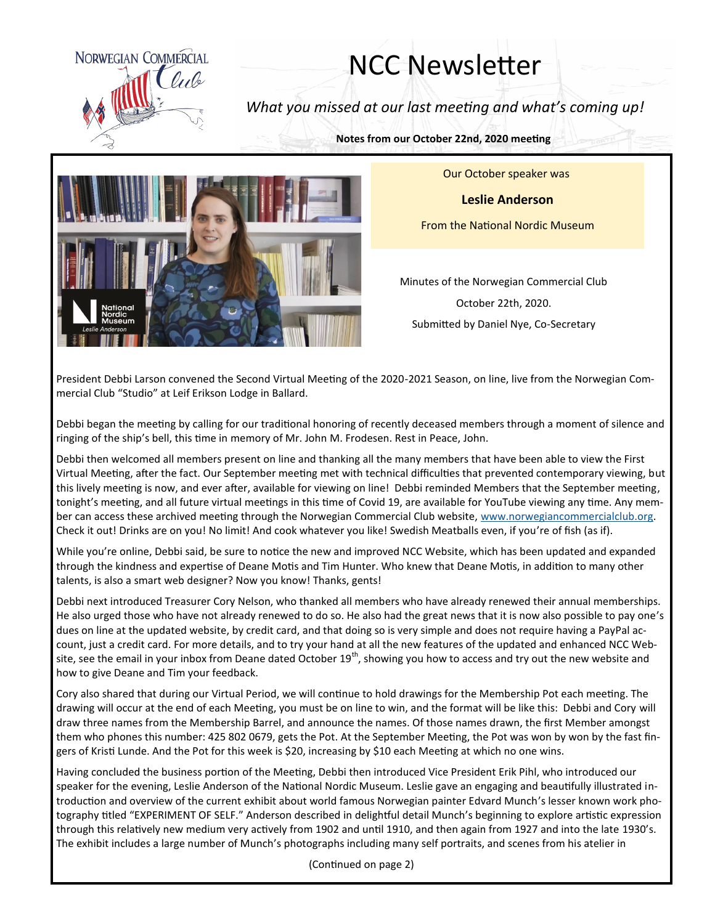

## NCC Newsletter

*What you missed at our last meeting and what's coming up!*

**Notes from our October 22nd, 2020 meeting**



Our October speaker was

**Leslie Anderson**

From the National Nordic Museum

Minutes of the Norwegian Commercial Club October 22th, 2020. Submitted by Daniel Nye, Co-Secretary

President Debbi Larson convened the Second Virtual Meeting of the 2020-2021 Season, on line, live from the Norwegian Commercial Club "Studio" at Leif Erikson Lodge in Ballard.

Debbi began the meeting by calling for our traditional honoring of recently deceased members through a moment of silence and ringing of the ship's bell, this time in memory of Mr. John M. Frodesen. Rest in Peace, John.

Debbi then welcomed all members present on line and thanking all the many members that have been able to view the First Virtual Meeting, after the fact. Our September meeting met with technical difficulties that prevented contemporary viewing, but this lively meeting is now, and ever after, available for viewing on line! Debbi reminded Members that the September meeting, tonight's meeting, and all future virtual meetings in this time of Covid 19, are available for YouTube viewing any time. Any member can access these archived meeting through the Norwegian Commercial Club website, [www.norwegiancommercialclub.org.](http://www.norwegiancommercialclub.org/) Check it out! Drinks are on you! No limit! And cook whatever you like! Swedish Meatballs even, if you're of fish (as if).

While you're online, Debbi said, be sure to notice the new and improved NCC Website, which has been updated and expanded through the kindness and expertise of Deane Motis and Tim Hunter. Who knew that Deane Motis, in addition to many other talents, is also a smart web designer? Now you know! Thanks, gents!

Debbi next introduced Treasurer Cory Nelson, who thanked all members who have already renewed their annual memberships. He also urged those who have not already renewed to do so. He also had the great news that it is now also possible to pay one's dues on line at the updated website, by credit card, and that doing so is very simple and does not require having a PayPal account, just a credit card. For more details, and to try your hand at all the new features of the updated and enhanced NCC Website, see the email in your inbox from Deane dated October 19<sup>th</sup>, showing you how to access and try out the new website and how to give Deane and Tim your feedback.

Cory also shared that during our Virtual Period, we will continue to hold drawings for the Membership Pot each meeting. The drawing will occur at the end of each Meeting, you must be on line to win, and the format will be like this: Debbi and Cory will draw three names from the Membership Barrel, and announce the names. Of those names drawn, the first Member amongst them who phones this number: 425 802 0679, gets the Pot. At the September Meeting, the Pot was won by won by the fast fingers of Kristi Lunde. And the Pot for this week is \$20, increasing by \$10 each Meeting at which no one wins.

Having concluded the business portion of the Meeting, Debbi then introduced Vice President Erik Pihl, who introduced our speaker for the evening, Leslie Anderson of the National Nordic Museum. Leslie gave an engaging and beautifully illustrated introduction and overview of the current exhibit about world famous Norwegian painter Edvard Munch's lesser known work photography titled "EXPERIMENT OF SELF." Anderson described in delightful detail Munch's beginning to explore artistic expression through this relatively new medium very actively from 1902 and until 1910, and then again from 1927 and into the late 1930's. The exhibit includes a large number of Munch's photographs including many self portraits, and scenes from his atelier in

(Continued on page 2)